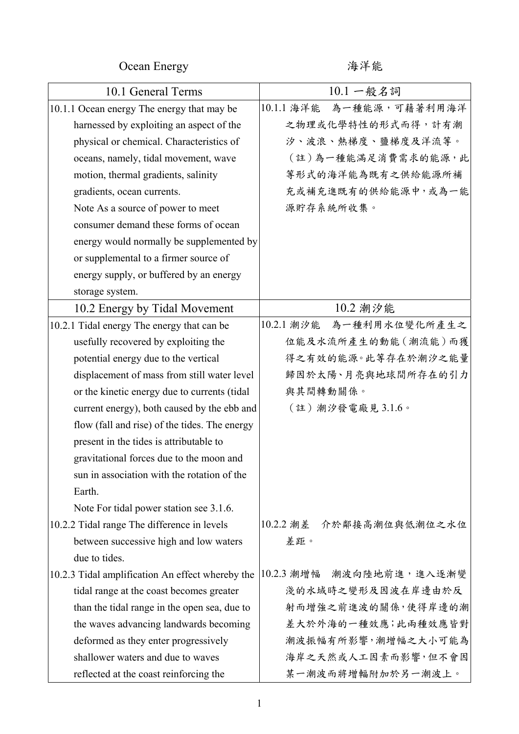Ocean Energy インタン 海洋能

| 10.1 General Terms                               | $10.1 - R$ 名詞               |
|--------------------------------------------------|-----------------------------|
| 10.1.1 Ocean energy The energy that may be       | 10.1.1 海洋能<br>為一種能源,可藉著利用海洋 |
| harnessed by exploiting an aspect of the         | 之物理或化學特性的形式而得, 計有潮          |
| physical or chemical. Characteristics of         | 汐、波浪、熱梯度、鹽梯度及洋流等。           |
| oceans, namely, tidal movement, wave             | (註)為一種能滿足消費需求的能源,此          |
| motion, thermal gradients, salinity              | 等形式的海洋能為既有之供給能源所補           |
| gradients, ocean currents.                       | 充或補充進既有的供給能源中,或為一能          |
| Note As a source of power to meet                | 源貯存系統所收集。                   |
| consumer demand these forms of ocean             |                             |
| energy would normally be supplemented by         |                             |
| or supplemental to a firmer source of            |                             |
| energy supply, or buffered by an energy          |                             |
| storage system.                                  |                             |
| 10.2 Energy by Tidal Movement                    | 10.2 潮汐能                    |
| 10.2.1 Tidal energy The energy that can be       | 10.2.1 潮汐能 為一種利用水位變化所產生之    |
| usefully recovered by exploiting the             | 位能及水流所產生的動能(潮流能)而獲          |
| potential energy due to the vertical             | 得之有效的能源。此等存在於潮汐之能量          |
| displacement of mass from still water level      | 歸因於太陽、月亮與地球間所存在的引力          |
| or the kinetic energy due to currents (tidal     | 與其間轉動關係。                    |
| current energy), both caused by the ebb and      | (註)潮汐發電廠見3.1.6。             |
| flow (fall and rise) of the tides. The energy    |                             |
| present in the tides is attributable to          |                             |
| gravitational forces due to the moon and         |                             |
| sun in association with the rotation of the      |                             |
| Earth.                                           |                             |
| Note For tidal power station see 3.1.6.          |                             |
| 10.2.2 Tidal range The difference in levels      | 10.2.2 潮差<br>介於鄰接高潮位與低潮位之水位 |
| between successive high and low waters           | 差距。                         |
| due to tides.                                    |                             |
| 10.2.3 Tidal amplification An effect whereby the | 10.2.3 潮增幅<br>潮波向陸地前進,進入逐漸變 |
| tidal range at the coast becomes greater         | 淺的水域時之變形及因波在岸邊由於反           |
| than the tidal range in the open sea, due to     | 射而增強之前進波的關係,使得岸邊的潮          |
| the waves advancing landwards becoming           | 差大於外海的一種效應;此兩種效應皆對          |
| deformed as they enter progressively             | 潮波振幅有所影響,潮增幅之大小可能為          |
| shallower waters and due to waves                | 海岸之天然或人工因素而影響,但不會因          |
| reflected at the coast reinforcing the           | 某一潮波而將增輻附加於另一潮波上。           |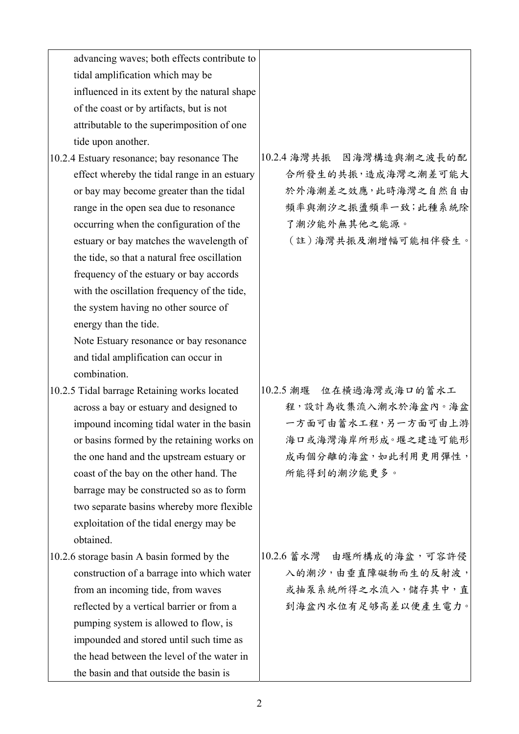| advancing waves; both effects contribute to   |                            |
|-----------------------------------------------|----------------------------|
| tidal amplification which may be              |                            |
| influenced in its extent by the natural shape |                            |
| of the coast or by artifacts, but is not      |                            |
| attributable to the superimposition of one    |                            |
| tide upon another.                            |                            |
| 10.2.4 Estuary resonance; bay resonance The   | 10.2.4 海灣共振 因海灣構造與潮之波長的配   |
| effect whereby the tidal range in an estuary  | 合所發生的共振,造成海灣之潮差可能大         |
| or bay may become greater than the tidal      | 於外海潮差之效應,此時海灣之自然自由         |
| range in the open sea due to resonance        | 頻率與潮汐之振盪頻率一致;此種系統除         |
| occurring when the configuration of the       | 了潮汐能外無其他之能源。               |
| estuary or bay matches the wavelength of      | (註)海灣共振及潮增幅可能相伴發生。         |
| the tide, so that a natural free oscillation  |                            |
| frequency of the estuary or bay accords       |                            |
| with the oscillation frequency of the tide,   |                            |
| the system having no other source of          |                            |
| energy than the tide.                         |                            |
| Note Estuary resonance or bay resonance       |                            |
| and tidal amplification can occur in          |                            |
| combination.                                  |                            |
| 10.2.5 Tidal barrage Retaining works located  | 位在横過海灣或海口的蓄水工<br>10.2.5 潮堰 |
| across a bay or estuary and designed to       | 程,設計為收集流入潮水於海盆內。海盆         |
| impound incoming tidal water in the basin     | 一方面可由蓄水工程,另一方面可由上游         |
| or basins formed by the retaining works on    | 海口或海灣海岸所形成。堰之建造可能形         |
| the one hand and the upstream estuary or      | 成兩個分離的海盆,如此利用更用彈性,         |
| coast of the bay on the other hand. The       | 所能得到的潮汐能更多。                |
| barrage may be constructed so as to form      |                            |
| two separate basins whereby more flexible     |                            |
| exploitation of the tidal energy may be       |                            |
| obtained.                                     |                            |
| 10.2.6 storage basin A basin formed by the    | 10.2.6 蓄水灣 由堰所構成的海盆,可容許侵   |
| construction of a barrage into which water    | 入的潮汐,由垂直障礙物而生的反射波,         |
| from an incoming tide, from waves             | 或抽泵系統所得之水流入,儲存其中,直         |
| reflected by a vertical barrier or from a     | 到海盆內水位有足够高差以便產生電力。         |
| pumping system is allowed to flow, is         |                            |
| impounded and stored until such time as       |                            |
| the head between the level of the water in    |                            |
| the basin and that outside the basin is       |                            |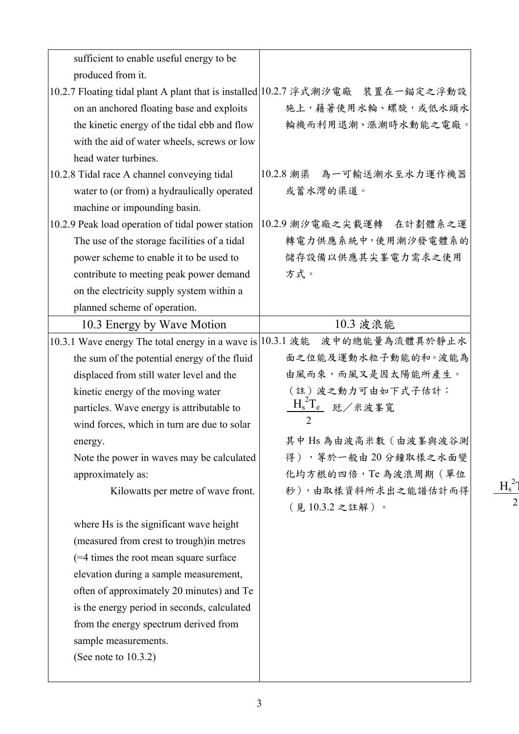| sufficient to enable useful energy to be          |                                                                                |
|---------------------------------------------------|--------------------------------------------------------------------------------|
| produced from it.                                 |                                                                                |
|                                                   | 10.2.7 Floating tidal plant A plant that is installed 10.2.7 浮式潮汐電廠 裝置在一錨定之浮動設 |
| on an anchored floating base and exploits         | 施上,藉著使用水輪、螺旋,或低水頭水                                                             |
| the kinetic energy of the tidal ebb and flow      | 輪機而利用退潮、漲潮時水動能之電廠。                                                             |
| with the aid of water wheels, screws or low       |                                                                                |
| head water turbines.                              |                                                                                |
| 10.2.8 Tidal race A channel conveying tidal       | 10.2.8 潮渠 為一可輸送潮水至水力運作機器                                                       |
| water to (or from) a hydraulically operated       | 或蓄水灣的渠道。                                                                       |
| machine or impounding basin.                      |                                                                                |
| 10.2.9 Peak load operation of tidal power station | 10.2.9 潮汐電廠之尖載運轉 在計劃體系之運                                                       |
| The use of the storage facilities of a tidal      | 轉電力供應系統中,使用潮汐發電體系的                                                             |
| power scheme to enable it to be used to           | 儲存設備以供應其尖峯電力需求之使用                                                              |
| contribute to meeting peak power demand           | 方式。                                                                            |
| on the electricity supply system within a         |                                                                                |
| planned scheme of operation.                      |                                                                                |
| 10.3 Energy by Wave Motion                        | 10.3 波浪能                                                                       |
|                                                   | 10.3.1 Wave energy The total energy in a wave is 10.3.1 波能 波中的總能量為流體異於靜止水      |
| the sum of the potential energy of the fluid      | 面之位能及運動水粒子動能的和。波能為                                                             |
| displaced from still water level and the          | 由風而來,而風又是因太陽能所產生。                                                              |
| kinetic energy of the moving water                | (註)波之動力可由如下式子估計:                                                               |
| particles. Wave energy is attributable to         | $H_s^2T_{\underline{e}}$ 瓩/米波峯寬                                                |
| wind forces, which in turn are due to solar       | $\overline{2}$                                                                 |
| energy.                                           | 其中 Hs 為由波高米數 (由波峯與波谷測                                                          |
| Note the power in waves may be calculated         | 得), 等於一般由20分鐘取樣之水面變                                                            |
| approximately as:                                 | 化均方根的四倍,Te為波浪周期(單位                                                             |
| Kilowatts per metre of wave front.                | 秒),由取樣資料所求出之能譜估計而得                                                             |
|                                                   | (見10.3.2之註解)。                                                                  |
| where Hs is the significant wave height           |                                                                                |
| (measured from crest to trough) in metres         |                                                                                |
| (=4 times the root mean square surface)           |                                                                                |
| elevation during a sample measurement,            |                                                                                |
| often of approximately 20 minutes) and Te         |                                                                                |
| is the energy period in seconds, calculated       |                                                                                |
| from the energy spectrum derived from             |                                                                                |
| sample measurements.                              |                                                                                |
| (See note to $10.3.2$ )                           |                                                                                |
|                                                   |                                                                                |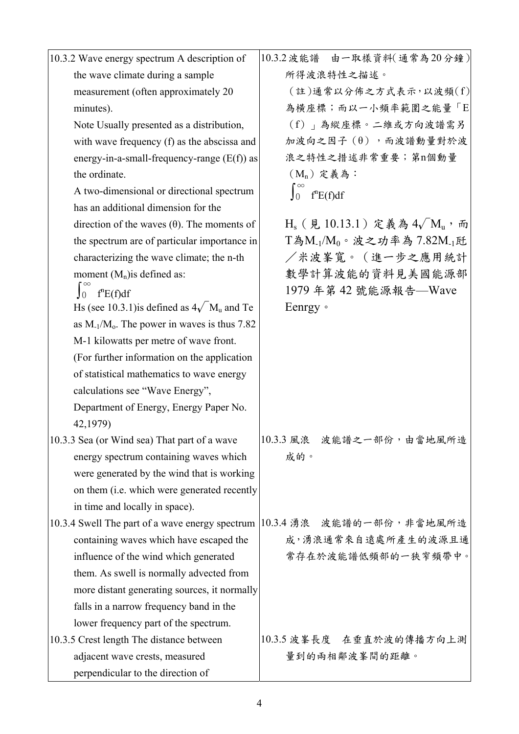| 10.3.2 Wave energy spectrum A description of                                | 10.3.2 波能譜 由一取樣資料(通常為20分鐘)                                     |
|-----------------------------------------------------------------------------|----------------------------------------------------------------|
| the wave climate during a sample                                            | 所得波浪特性之描述。                                                     |
| measurement (often approximately 20                                         | (註)通常以分佈之方式表示,以波頻(f)                                           |
| minutes).                                                                   | 為橫座標;而以一小頻率範圍之能量「E                                             |
| Note Usually presented as a distribution,                                   | (f)   為縱座標。二維或方向波譜需另                                           |
| with wave frequency (f) as the abscissa and                                 | 加波向之因子(θ), 而波譜動量對於波                                            |
| energy-in-a-small-frequency-range $(E(f))$ as                               | 浪之特性之措述非常重要;第n個動量                                              |
| the ordinate.                                                               | (M <sub>n</sub> ) 定義為:                                         |
| A two-dimensional or directional spectrum                                   | $\int_0$<br>f <sup>n</sup> E(f)df                              |
| has an additional dimension for the                                         |                                                                |
| direction of the waves $(\theta)$ . The moments of                          | $H_s$ (見10.13.1) 定義為 4 $\sqrt{M_u}$ , 而                        |
| the spectrum are of particular importance in                                | T為M <sub>-1</sub> /M <sub>0</sub> 。波之功率為 7.82M <sub>-1</sub> 瓩 |
| characterizing the wave climate; the n-th                                   | /米波峯寬。(進一步之應用統計                                                |
| moment $(M_n)$ is defined as:                                               | 數學計算波能的資料見美國能源部                                                |
| $\int_0^\infty f^n E(f) df$                                                 | 1979年第42號能源報告––Wave                                            |
| Hs (see 10.3.1) is defined as $4\sqrt{M_u}$ and Te                          | Eenrgy .                                                       |
| as $M_{-1}/M_0$ . The power in waves is thus 7.82                           |                                                                |
| M-1 kilowatts per metre of wave front.                                      |                                                                |
| (For further information on the application                                 |                                                                |
| of statistical mathematics to wave energy                                   |                                                                |
| calculations see "Wave Energy",                                             |                                                                |
| Department of Energy, Energy Paper No.                                      |                                                                |
| 42,1979)                                                                    |                                                                |
| 10.3.3 Sea (or Wind sea) That part of a wave                                | 10.3.3 風浪 波能譜之一部份,由當地風所造                                       |
| energy spectrum containing waves which                                      | 成的。                                                            |
| were generated by the wind that is working                                  |                                                                |
| on them ( <i>i.e.</i> which were generated recently                         |                                                                |
| in time and locally in space).                                              |                                                                |
| 10.3.4 Swell The part of a wave energy spectrum   10.3.4 湧浪 波能譜的一部份, 非當地風所造 |                                                                |
| containing waves which have escaped the                                     | 成,湧浪通常來自遠處所產生的波源且通                                             |
| influence of the wind which generated                                       | 常存在於波能譜低頻部的一狹窄頻帶中。                                             |
| them. As swell is normally advected from                                    |                                                                |
| more distant generating sources, it normally                                |                                                                |
| falls in a narrow frequency band in the                                     |                                                                |
| lower frequency part of the spectrum.                                       |                                                                |
| 10.3.5 Crest length The distance between                                    | 10.3.5 波峯長度 在垂直於波的傳播方向上測                                       |
| adjacent wave crests, measured                                              | 量到的兩相鄰波峯間的距離。                                                  |
| perpendicular to the direction of                                           |                                                                |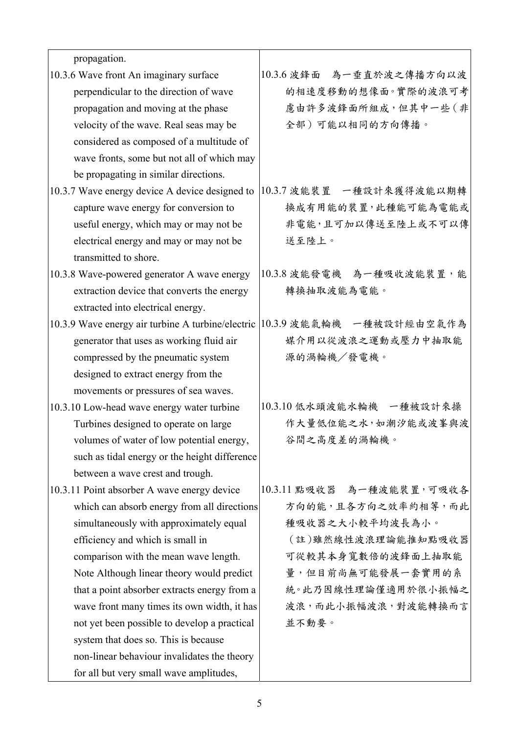| propagation.                                      |                             |
|---------------------------------------------------|-----------------------------|
| 10.3.6 Wave front An imaginary surface            | 為一垂直於波之傳播方向以波<br>10.3.6 波鋒面 |
| perpendicular to the direction of wave            | 的相速度移動的想像面。實際的波浪可考          |
| propagation and moving at the phase               | 慮由許多波鋒面所組成,但其中一些(非          |
| velocity of the wave. Real seas may be            | 全部)可能以相同的方向傳播。              |
| considered as composed of a multitude of          |                             |
| wave fronts, some but not all of which may        |                             |
| be propagating in similar directions.             |                             |
| 10.3.7 Wave energy device A device designed to    | 10.3.7 波能裝置 一種設計來獲得波能以期轉    |
| capture wave energy for conversion to             | 换成有用能的裝置,此種能可能為電能或          |
| useful energy, which may or may not be            | 非電能,且可加以傳送至陸上或不可以傳          |
| electrical energy and may or may not be           | 送至陸上。                       |
| transmitted to shore.                             |                             |
| 10.3.8 Wave-powered generator A wave energy       | 10.3.8 波能發電機 為一種吸收波能裝置,能    |
| extraction device that converts the energy        | 轉換抽取波能為電能。                  |
| extracted into electrical energy.                 |                             |
| 10.3.9 Wave energy air turbine A turbine/electric | 10.3.9 波能氣輪機 一種被設計經由空氣作為    |
| generator that uses as working fluid air          | 媒介用以從波浪之運動或壓力中抽取能           |
| compressed by the pneumatic system                | 源的渦輪機/發電機。                  |
| designed to extract energy from the               |                             |
| movements or pressures of sea waves.              |                             |
| 10.3.10 Low-head wave energy water turbine        | 10.3.10 低水頭波能水輪機 一種被設計來操    |
| Turbines designed to operate on large             | 作大量低位能之水,如潮汐能或波峯與波          |
| volumes of water of low potential energy,         | 谷間之高度差的渦輪機。                 |
| such as tidal energy or the height difference     |                             |
| between a wave crest and trough.                  |                             |
| 10.3.11 Point absorber A wave energy device       | 10.3.11 點吸收器 為一種波能裝置,可吸收各   |
| which can absorb energy from all directions       | 方向的能,且各方向之效率約相等,而此          |
| simultaneously with approximately equal           | 種吸收器之大小較平均波長為小。             |
| efficiency and which is small in                  | (註)雖然線性波浪理論能推知點吸收器          |
| comparison with the mean wave length.             | 可從較其本身寬數倍的波鋒面上抽取能           |
| Note Although linear theory would predict         | 量,但目前尚無可能發展一套實用的系           |
| that a point absorber extracts energy from a      | 統。此乃因線性理論僅適用於很小振幅之          |
| wave front many times its own width, it has       | 波浪,而此小振幅波浪,對波能轉換而言          |
| not yet been possible to develop a practical      | 並不動要。                       |
| system that does so. This is because              |                             |
| non-linear behaviour invalidates the theory       |                             |
| for all but very small wave amplitudes,           |                             |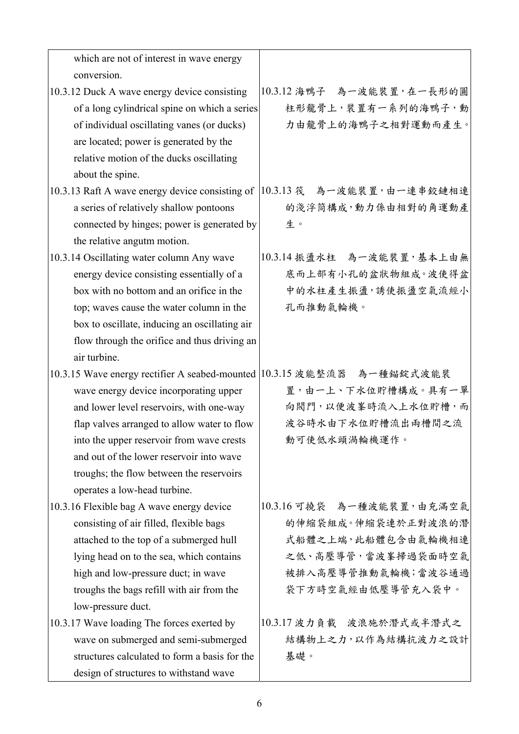| which are not of interest in wave energy                               |                            |
|------------------------------------------------------------------------|----------------------------|
| conversion.                                                            |                            |
| 10.3.12 Duck A wave energy device consisting                           | 10.3.12 海鴨子 為一波能裝置,在一長形的圓  |
| of a long cylindrical spine on which a series                          | 柱形龍骨上,裝置有一系列的海鴨子,動         |
| of individual oscillating vanes (or ducks)                             | 力由龍骨上的海鴨子之相對運動而產生。         |
| are located; power is generated by the                                 |                            |
| relative motion of the ducks oscillating                               |                            |
| about the spine.                                                       |                            |
| 10.3.13 Raft A wave energy device consisting of                        | 10.3.13 筏 為一波能裝置,由一連串鉸鏈相連  |
| a series of relatively shallow pontoons                                | 的淺浮筒構成,動力係由相對的角運動產         |
| connected by hinges; power is generated by                             | 生。                         |
| the relative angutm motion.                                            |                            |
| 10.3.14 Oscillating water column Any wave                              | 10.3.14 振盪水柱 為一波能裝置,基本上由無  |
| energy device consisting essentially of a                              | 底而上部有小孔的盆狀物組成。波使得盆         |
| box with no bottom and an orifice in the                               | 中的水柱產生振盪,誘使振盪空氣流經小         |
| top; waves cause the water column in the                               | 孔而推動氣輪機。                   |
| box to oscillate, inducing an oscillating air                          |                            |
| flow through the orifice and thus driving an                           |                            |
| air turbine.                                                           |                            |
| 10.3.15 Wave energy rectifier A seabed-mounted 10.3.15 波能整流器 為一種錨錠式波能裝 |                            |
| wave energy device incorporating upper                                 | 置,由一上、下水位貯槽構成。具有一單         |
| and lower level reservoirs, with one-way                               | 向閥門,以便波峯時流入上水位貯槽,而         |
| flap valves arranged to allow water to flow                            | 波谷時水由下水位貯槽流出兩槽間之流          |
| into the upper reservoir from wave crests                              | 動可使低水頭渦輪機運作。               |
| and out of the lower reservoir into wave                               |                            |
| troughs; the flow between the reservoirs                               |                            |
| operates a low-head turbine.                                           |                            |
| 10.3.16 Flexible bag A wave energy device                              | 10.3.16 可撓袋 為一種波能裝置, 由充滿空氣 |
| consisting of air filled, flexible bags                                | 的伸缩袋組成。伸缩袋連於正對波浪的潛         |
| attached to the top of a submerged hull                                | 式船體之上端,此船體包含由氣輪機相連         |
| lying head on to the sea, which contains                               | 之低、高壓導管,當波峯掃過袋面時空氣         |
| high and low-pressure duct; in wave                                    | 被排入高壓導管推動氣輪機;當波谷通過         |
| troughs the bags refill with air from the                              | 袋下方時空氣經由低壓導管充入袋中。          |
| low-pressure duct.                                                     |                            |
| 10.3.17 Wave loading The forces exerted by                             | 10.3.17 波力負載 波浪施於潛式或半潛式之   |
| wave on submerged and semi-submerged                                   | 結構物上之力,以作為結構抗波力之設計         |
| structures calculated to form a basis for the                          | 基礎。                        |
| design of structures to withstand wave                                 |                            |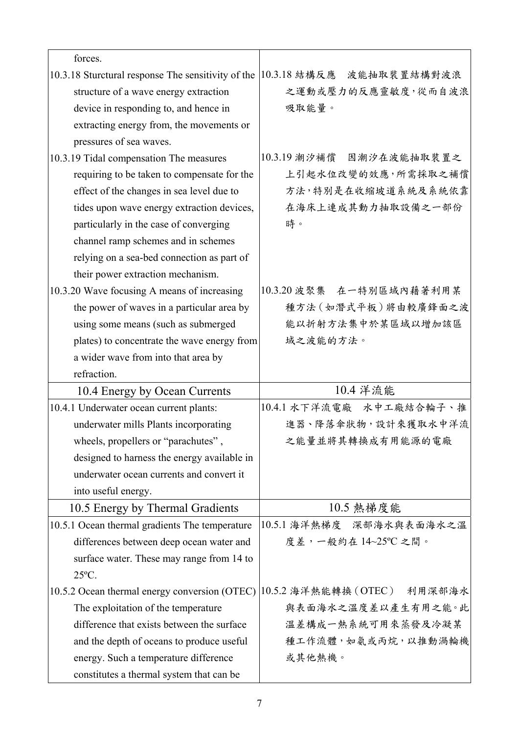| forces.                                            |                                                                                                         |
|----------------------------------------------------|---------------------------------------------------------------------------------------------------------|
| 10.3.18 Sturctural response The sensitivity of the | 10.3.18 結構反應 波能抽取裝置結構對波浪                                                                                |
| structure of a wave energy extraction              | 之運動或壓力的反應靈敏度,從而自波浪                                                                                      |
| device in responding to, and hence in              | 吸取能量。                                                                                                   |
| extracting energy from, the movements or           |                                                                                                         |
| pressures of sea waves.                            |                                                                                                         |
| 10.3.19 Tidal compensation The measures            | 10.3.19 潮汐補償 因潮汐在波能抽取裝置之                                                                                |
| requiring to be taken to compensate for the        | 上引起水位改變的效應,所需採取之補償                                                                                      |
| effect of the changes in sea level due to          | 方法,特別是在收縮坡道系統及系統依靠                                                                                      |
| tides upon wave energy extraction devices,         | 在海床上連成其動力抽取設備之一部份                                                                                       |
| particularly in the case of converging             | 時。                                                                                                      |
| channel ramp schemes and in schemes                |                                                                                                         |
| relying on a sea-bed connection as part of         |                                                                                                         |
| their power extraction mechanism.                  |                                                                                                         |
| 10.3.20 Wave focusing A means of increasing        | 10.3.20 波聚集 在一特别區域內藉著利用某                                                                                |
| the power of waves in a particular area by         | 種方法 (如潛式平板)將由較廣鋒面之波                                                                                     |
| using some means (such as submerged                | 能以折射方法集中於某區域以增加該區                                                                                       |
| plates) to concentrate the wave energy from        | 域之波能的方法。                                                                                                |
| a wider wave from into that area by                |                                                                                                         |
|                                                    |                                                                                                         |
| refraction.                                        |                                                                                                         |
| 10.4 Energy by Ocean Currents                      | 10.4 洋流能                                                                                                |
| 10.4.1 Underwater ocean current plants:            | 10.4.1 水下洋流電廠 水中工廠結合輪子、推                                                                                |
| underwater mills Plants incorporating              |                                                                                                         |
| wheels, propellers or "parachutes",                | 之能量並將其轉換成有用能源的電廠                                                                                        |
| designed to harness the energy available in        |                                                                                                         |
| underwater ocean currents and convert it           |                                                                                                         |
| into useful energy.                                |                                                                                                         |
| 10.5 Energy by Thermal Gradients                   | 10.5 熱梯度能                                                                                               |
| 10.5.1 Ocean thermal gradients The temperature     | 10.5.1 海洋熱梯度 深部海水與表面海水之溫                                                                                |
| differences between deep ocean water and           | 度差,一般約在14~25℃之間。                                                                                        |
| surface water. These may range from 14 to          |                                                                                                         |
| $25^{\circ}$ C.                                    |                                                                                                         |
| 10.5.2 Ocean thermal energy conversion (OTEC)      |                                                                                                         |
| The exploitation of the temperature                |                                                                                                         |
| difference that exists between the surface         | 温差構成一熱系統可用來蒸發及冷凝某                                                                                       |
| and the depth of oceans to produce useful          |                                                                                                         |
| energy. Such a temperature difference              | 進器、降落傘狀物,設計來獲取水中洋流<br>10.5.2 海洋熱能轉換 (OTEC) 利用深部海水<br>與表面海水之溫度差以產生有用之能。此<br>種工作流體,如氨或丙烷,以推動渦輪機<br>或其他熱機。 |